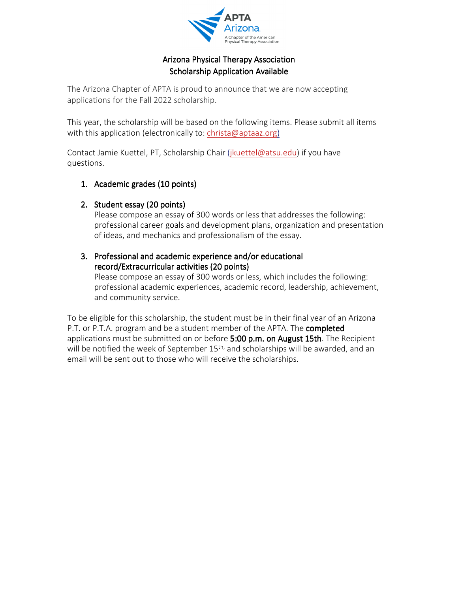

# Arizona Physical Therapy Association Scholarship Application Available

The Arizona Chapter of APTA is proud to announce that we are now accepting applications for the Fall 2022 scholarship.

This year, the scholarship will be based on the following items. Please submit all items with this application (electronically to: christa@aptaaz.org)

Contact Jamie Kuettel, PT, Scholarship Chair (jkuettel@atsu.edu) if you have questions.

### 1. Academic grades (10 points)

## 2. Student essay (20 points)

Please compose an essay of 300 words or less that addresses the following: professional career goals and development plans, organization and presentation of ideas, and mechanics and professionalism of the essay.

### 3. Professional and academic experience and/or educational record/Extracurricular activities (20 points) (20 points)

Please compose an essay of 300 words or less, which includes the following: professional academic experiences, academic record, leadership, achievement, and community service.

To be eligible for this scholarship, the student must be in their final year of an Arizona P.T. or P.T.A. program and be a student member of the APTA. The completed applications must be submitted on or before  $5:00$  p.m. on August 15th. The Recipient will be notified the week of September 15<sup>th,</sup> and scholarships will be awarded, and an email will be sent out to those who will receive the scholarships.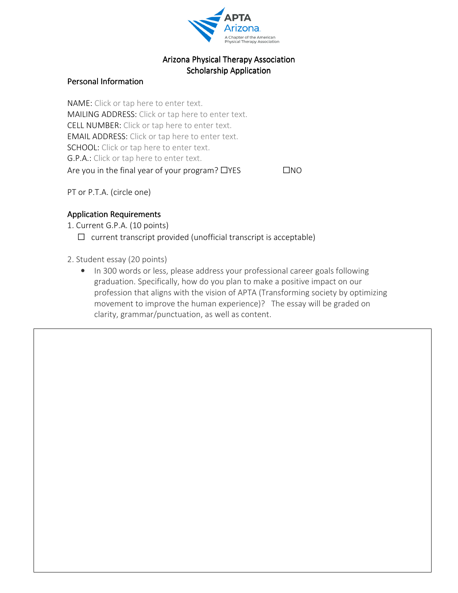

### Arizona Physical Therapy Association Scholarship Application

#### Personal Information

NAME: Click or tap here to enter text. MAILING ADDRESS: Click or tap here to enter text. CELL NUMBER: Click or tap here to enter text. EMAIL ADDRESS: Click or tap here to enter text. SCHOOL: Click or tap here to enter text. G.P.A.: Click or tap here to enter text. Are you in the final year of your program?  $\Box$ YES  $\Box$ NO

PT or P.T.A. (circle one)

### Application Requirements

- 1. Current G.P.A. (10 points)
	- $\Box$  current transcript provided (unofficial transcript is acceptable)
- 2. Student essay (20 points)

 $\overline{a}$ 

• In 300 words or less, please address your professional career goals following graduation. Specifically, how do you plan to make a positive impact on our profession that aligns with the vision of APTA (Transforming society by optimizing movement to improve the human experience)? The essay will be graded on clarity, grammar/punctuation, as well as content.